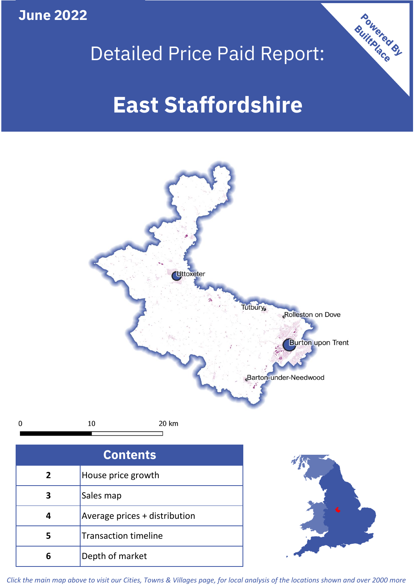**June 2022**

 $\mathbf 0$ 





| <b>Contents</b> |                               |  |  |
|-----------------|-------------------------------|--|--|
| $\overline{2}$  | House price growth            |  |  |
|                 | Sales map                     |  |  |
|                 | Average prices + distribution |  |  |
| 5               | <b>Transaction timeline</b>   |  |  |
| h               | Depth of market               |  |  |



*Click the main map above to visit our Cities, Towns & Villages page, for local analysis of the locations shown and over 2000 more*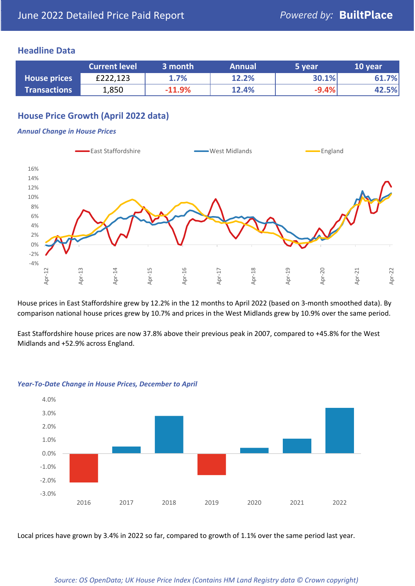# **Headline Data**

|                     | <b>Current level</b> | 3 month  | <b>Annual</b> | 5 year  | 10 year |
|---------------------|----------------------|----------|---------------|---------|---------|
| <b>House prices</b> | £222,123             | 1.7%     | 12.2%         | 30.1%   | 61.7%   |
| <b>Transactions</b> | 1,850                | $-11.9%$ | 12.4%         | $-9.4%$ | 42.5%   |

# **House Price Growth (April 2022 data)**

#### *Annual Change in House Prices*



House prices in East Staffordshire grew by 12.2% in the 12 months to April 2022 (based on 3-month smoothed data). By comparison national house prices grew by 10.7% and prices in the West Midlands grew by 10.9% over the same period.

East Staffordshire house prices are now 37.8% above their previous peak in 2007, compared to +45.8% for the West Midlands and +52.9% across England.



#### *Year-To-Date Change in House Prices, December to April*

Local prices have grown by 3.4% in 2022 so far, compared to growth of 1.1% over the same period last year.

#### *Source: OS OpenData; UK House Price Index (Contains HM Land Registry data © Crown copyright)*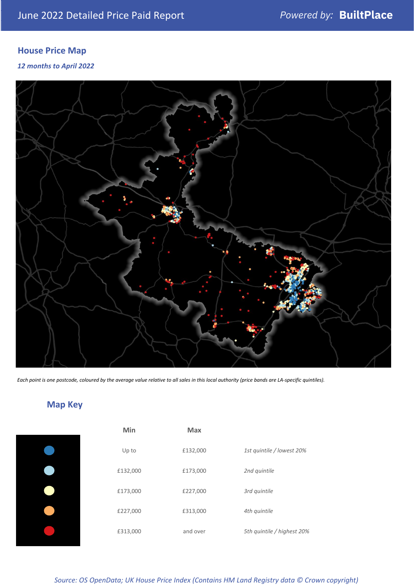# **House Price Map**

# *12 months to April 2022*



*Each point is one postcode, coloured by the average value relative to all sales in this local authority (price bands are LA-specific quintiles).*

# **Map Key**

| Min      | Max      |                            |
|----------|----------|----------------------------|
| Up to    | £132,000 | 1st quintile / lowest 20%  |
| £132,000 | £173,000 | 2nd quintile               |
| £173,000 | £227,000 | 3rd quintile               |
| £227,000 | £313,000 | 4th quintile               |
| £313,000 | and over | 5th quintile / highest 20% |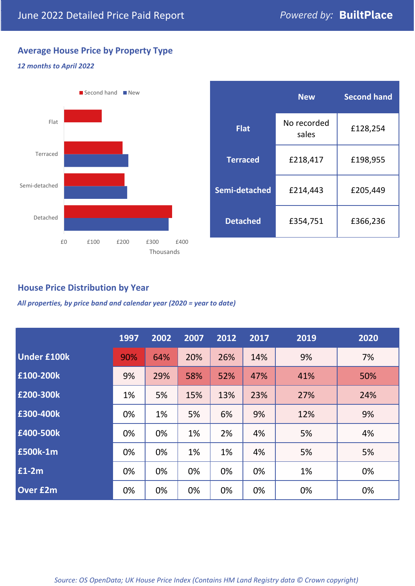# **Average House Price by Property Type**

## *12 months to April 2022*



|                 | <b>New</b>           | <b>Second hand</b> |  |  |
|-----------------|----------------------|--------------------|--|--|
| <b>Flat</b>     | No recorded<br>sales | £128,254           |  |  |
| <b>Terraced</b> | £218,417             | £198,955           |  |  |
| Semi-detached   | £214,443             | £205,449           |  |  |
| <b>Detached</b> | £354,751             | £366,236           |  |  |

# **House Price Distribution by Year**

*All properties, by price band and calendar year (2020 = year to date)*

|                    | 1997 | 2002 | 2007 | 2012 | 2017 | 2019 | 2020 |
|--------------------|------|------|------|------|------|------|------|
| <b>Under £100k</b> | 90%  | 64%  | 20%  | 26%  | 14%  | 9%   | 7%   |
| £100-200k          | 9%   | 29%  | 58%  | 52%  | 47%  | 41%  | 50%  |
| E200-300k          | 1%   | 5%   | 15%  | 13%  | 23%  | 27%  | 24%  |
| £300-400k          | 0%   | 1%   | 5%   | 6%   | 9%   | 12%  | 9%   |
| £400-500k          | 0%   | 0%   | 1%   | 2%   | 4%   | 5%   | 4%   |
| £500k-1m           | 0%   | 0%   | 1%   | 1%   | 4%   | 5%   | 5%   |
| £1-2m              | 0%   | 0%   | 0%   | 0%   | 0%   | 1%   | 0%   |
| <b>Over £2m</b>    | 0%   | 0%   | 0%   | 0%   | 0%   | 0%   | 0%   |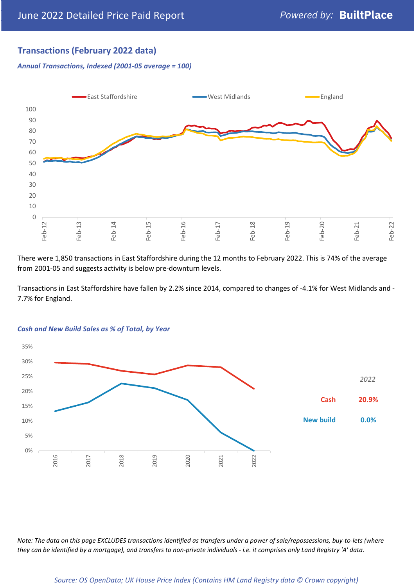# **Transactions (February 2022 data)**

*Annual Transactions, Indexed (2001-05 average = 100)*



There were 1,850 transactions in East Staffordshire during the 12 months to February 2022. This is 74% of the average from 2001-05 and suggests activity is below pre-downturn levels.

Transactions in East Staffordshire have fallen by 2.2% since 2014, compared to changes of -4.1% for West Midlands and - 7.7% for England.



#### *Cash and New Build Sales as % of Total, by Year*

*Note: The data on this page EXCLUDES transactions identified as transfers under a power of sale/repossessions, buy-to-lets (where they can be identified by a mortgage), and transfers to non-private individuals - i.e. it comprises only Land Registry 'A' data.*